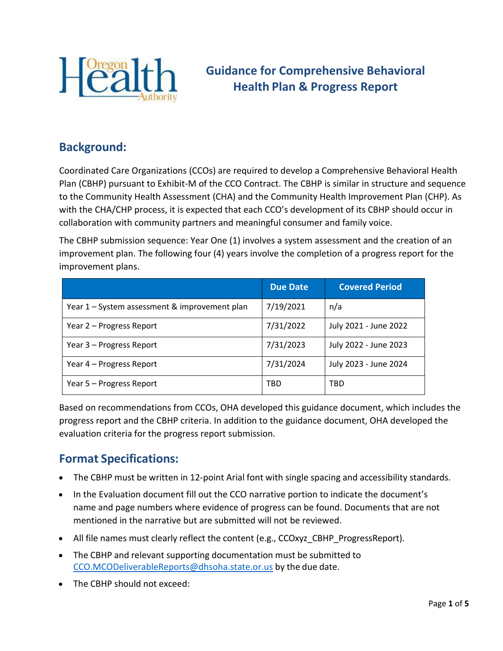

# **Guidance for Comprehensive Behavioral Health Plan & Progress Report**

### **Background:**

Coordinated Care Organizations (CCOs) are required to develop a Comprehensive Behavioral Health Plan (CBHP) pursuant to Exhibit-M of the CCO Contract. The CBHP is similar in structure and sequence to the Community Health Assessment (CHA) and the Community Health Improvement Plan (CHP). As with the CHA/CHP process, it is expected that each CCO's development of its CBHP should occur in collaboration with community partners and meaningful consumer and family voice.

The CBHP submission sequence: Year One (1) involves a system assessment and the creation of an improvement plan. The following four (4) years involve the completion of a progress report for the improvement plans.

|                                               | <b>Due Date</b> | <b>Covered Period</b> |
|-----------------------------------------------|-----------------|-----------------------|
| Year 1 – System assessment & improvement plan | 7/19/2021       | n/a                   |
| Year 2 – Progress Report                      | 7/31/2022       | July 2021 - June 2022 |
| Year 3 – Progress Report                      | 7/31/2023       | July 2022 - June 2023 |
| Year 4 – Progress Report                      | 7/31/2024       | July 2023 - June 2024 |
| Year 5 – Progress Report                      | TBD             | <b>TBD</b>            |

Based on recommendations from CCOs, OHA developed this guidance document, which includes the progress report and the CBHP criteria. In addition to the guidance document, OHA developed the evaluation criteria for the progress report submission.

## **Format Specifications:**

- The CBHP must be written in 12-point Arial font with single spacing and accessibility standards.
- In the Evaluation document fill out the CCO narrative portion to indicate the document's name and page numbers where evidence of progress can be found. Documents that are not mentioned in the narrative but are submitted will not be reviewed.
- All file names must clearly reflect the content (e.g., CCOxyz\_CBHP\_ProgressReport).
- The CBHP and relevant supporting documentation must be submitted to [CCO.MCODeliverableReports@dhsoha.state.or.us](mailto:CCO.MCODeliverableReports@dhsoha.state.or.us) by the due date.
- The CBHP should not exceed: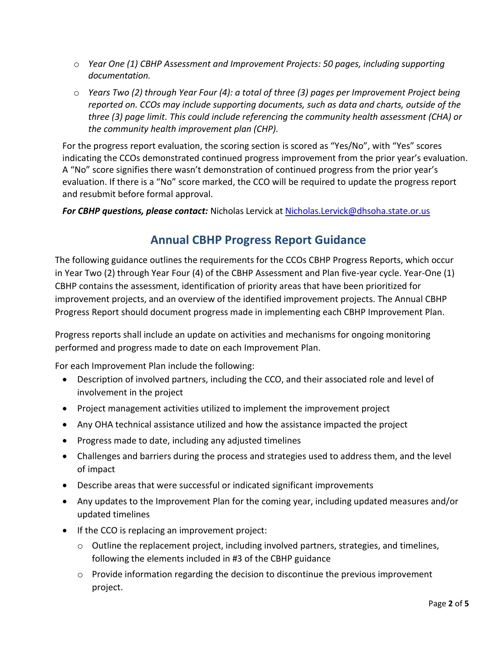- o *Year One (1) CBHP Assessment and Improvement Projects: 50 pages, including supporting documentation.*
- o *Years Two (2) through Year Four (4): a total of three (3) pages per Improvement Project being reported on. CCOs may include supporting documents, such as data and charts, outside of the three (3) page limit. This could include referencing the community health assessment (CHA) or the community health improvement plan (CHP).*

For the progress report evaluation, the scoring section is scored as "Yes/No", with "Yes" scores indicating the CCOs demonstrated continued progress improvement from the prior year's evaluation. A "No" score signifies there wasn't demonstration of continued progress from the prior year's evaluation. If there is a "No" score marked, the CCO will be required to update the progress report and resubmit before formal approval.

*For CBHP questions, please contact:* Nicholas Lervick at [Nicholas.Lervick@dhsoha.state.or.us](mailto:Nicholas.Lervick@dhsoha.state.or.us)

## **Annual CBHP Progress Report Guidance**

The following guidance outlines the requirements for the CCOs CBHP Progress Reports, which occur in Year Two (2) through Year Four (4) of the CBHP Assessment and Plan five-year cycle. Year-One (1) CBHP contains the assessment, identification of priority areas that have been prioritized for improvement projects, and an overview of the identified improvement projects. The Annual CBHP Progress Report should document progress made in implementing each CBHP Improvement Plan.

Progress reports shall include an update on activities and mechanisms for ongoing monitoring performed and progress made to date on each Improvement Plan.

For each Improvement Plan include the following:

- Description of involved partners, including the CCO, and their associated role and level of involvement in the project
- Project management activities utilized to implement the improvement project
- Any OHA technical assistance utilized and how the assistance impacted the project
- Progress made to date, including any adjusted timelines
- Challenges and barriers during the process and strategies used to address them, and the level of impact
- Describe areas that were successful or indicated significant improvements
- Any updates to the Improvement Plan for the coming year, including updated measures and/or updated timelines
- If the CCO is replacing an improvement project:
	- $\circ$  Outline the replacement project, including involved partners, strategies, and timelines, following the elements included in #3 of the CBHP guidance
	- $\circ$  Provide information regarding the decision to discontinue the previous improvement project.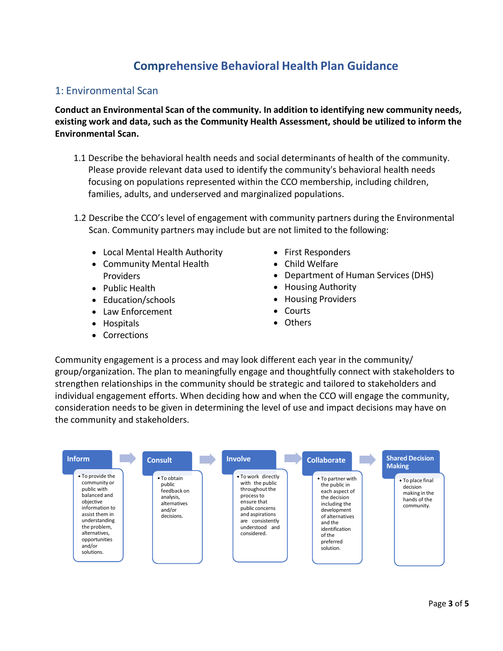## **Comprehensive Behavioral Health Plan Guidance**

#### 1: Environmental Scan

**Conduct an Environmental Scan of the community. In addition to identifying new community needs, existing work and data, such as the Community Health Assessment, should be utilized to inform the Environmental Scan.**

- 1.1 Describe the behavioral health needs and social determinants of health of the community. Please provide relevant data used to identify the community's behavioral health needs focusing on populations represented within the CCO membership, including children, families, adults, and underserved and marginalized populations.
- 1.2 Describe the CCO's level of engagement with community partners during the Environmental Scan. Community partners may include but are not limited to the following:
	- Local Mental Health Authority
	- Community Mental Health Providers
	- Public Health
	- Education/schools
	- Law Enforcement
	- Hospitals
	- Corrections
- First Responders
- Child Welfare
- Department of Human Services (DHS)
- Housing Authority
- Housing Providers
- Courts
- Others

Community engagement is a process and may look different each year in the community/ group/organization. The plan to meaningfully engage and thoughtfully connect with stakeholders to strengthen relationships in the community should be strategic and tailored to stakeholders and individual engagement efforts. When deciding how and when the CCO will engage the community, consideration needs to be given in determining the level of use and impact decisions may have on the community and stakeholders.

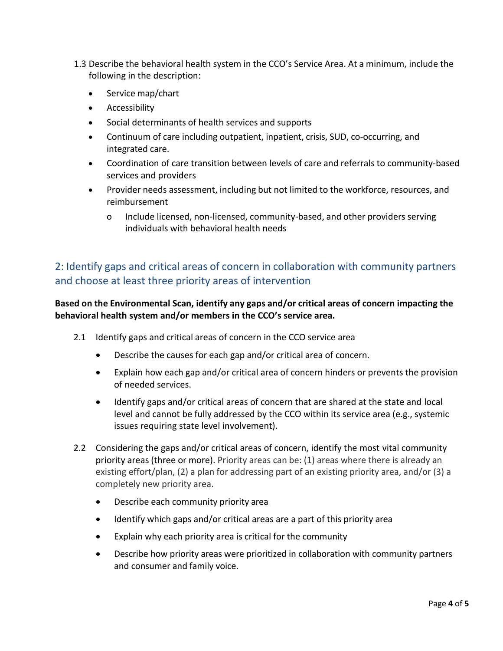- 1.3 Describe the behavioral health system in the CCO's Service Area. At a minimum, include the following in the description:
	- Service map/chart
	- Accessibility
	- Social determinants of health services and supports
	- Continuum of care including outpatient, inpatient, crisis, SUD, co-occurring, and integrated care.
	- Coordination of care transition between levels of care and referrals to community-based services and providers
	- Provider needs assessment, including but not limited to the workforce, resources, and reimbursement
		- o Include licensed, non-licensed, community-based, and other providers serving individuals with behavioral health needs

### 2: Identify gaps and critical areas of concern in collaboration with community partners and choose at least three priority areas of intervention

#### **Based on the Environmental Scan, identify any gaps and/or critical areas of concern impacting the behavioral health system and/or members in the CCO's service area.**

- 2.1 Identify gaps and critical areas of concern in the CCO service area
	- Describe the causes for each gap and/or critical area of concern.
	- Explain how each gap and/or critical area of concern hinders or prevents the provision of needed services.
	- Identify gaps and/or critical areas of concern that are shared at the state and local level and cannot be fully addressed by the CCO within its service area (e.g., systemic issues requiring state level involvement).
- 2.2 Considering the gaps and/or critical areas of concern, identify the most vital community priority areas (three or more). Priority areas can be: (1) areas where there is already an existing effort/plan, (2) a plan for addressing part of an existing priority area, and/or (3) a completely new priority area.
	- Describe each community priority area
	- Identify which gaps and/or critical areas are a part of this priority area
	- Explain why each priority area is critical for the community
	- Describe how priority areas were prioritized in collaboration with community partners and consumer and family voice.